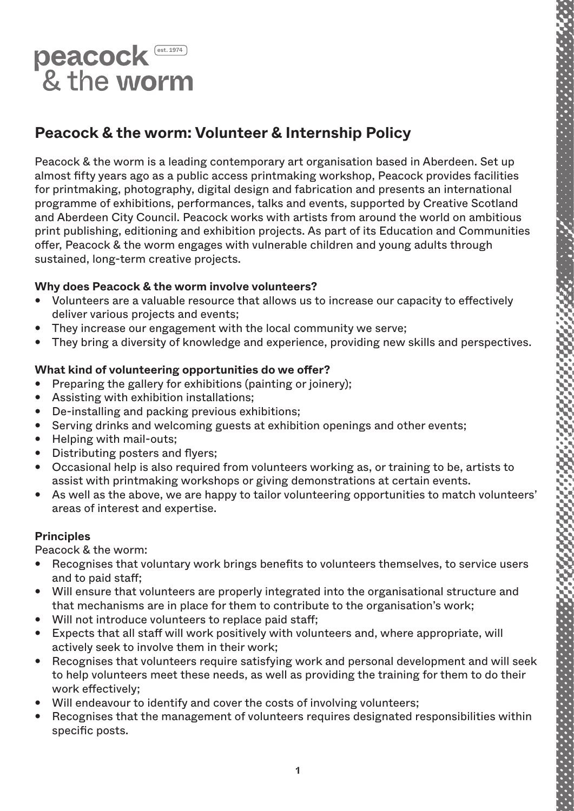

# **Peacock & the worm: Volunteer & Internship Policy**

Peacock & the worm is a leading contemporary art organisation based in Aberdeen. Set up almost fifty years ago as a public access printmaking workshop, Peacock provides facilities for printmaking, photography, digital design and fabrication and presents an international programme of exhibitions, performances, talks and events, supported by Creative Scotland and Aberdeen City Council. Peacock works with artists from around the world on ambitious print publishing, editioning and exhibition projects. As part of its Education and Communities offer, Peacock & the worm engages with vulnerable children and young adults through sustained, long-term creative projects.

# **Why does Peacock & the worm involve volunteers?**

- Volunteers are a valuable resource that allows us to increase our capacity to effectively deliver various projects and events;
- They increase our engagement with the local community we serve;
- They bring a diversity of knowledge and experience, providing new skills and perspectives.

# **What kind of volunteering opportunities do we offer?**

- Preparing the gallery for exhibitions (painting or joinery);
- Assisting with exhibition installations;
- De-installing and packing previous exhibitions;
- Serving drinks and welcoming guests at exhibition openings and other events;
- Helping with mail-outs;
- Distributing posters and flyers;
- Occasional help is also required from volunteers working as, or training to be, artists to assist with printmaking workshops or giving demonstrations at certain events.
- As well as the above, we are happy to tailor volunteering opportunities to match volunteers' areas of interest and expertise.

# **Principles**

Peacock & the worm:

- Recognises that voluntary work brings benefits to volunteers themselves, to service users and to paid staff;
- Will ensure that volunteers are properly integrated into the organisational structure and that mechanisms are in place for them to contribute to the organisation's work;
- Will not introduce volunteers to replace paid staff;
- Expects that all staff will work positively with volunteers and, where appropriate, will actively seek to involve them in their work;
- Recognises that volunteers require satisfying work and personal development and will seek to help volunteers meet these needs, as well as providing the training for them to do their work effectively;
- Will endeavour to identify and cover the costs of involving volunteers;
- Recognises that the management of volunteers requires designated responsibilities within specific posts.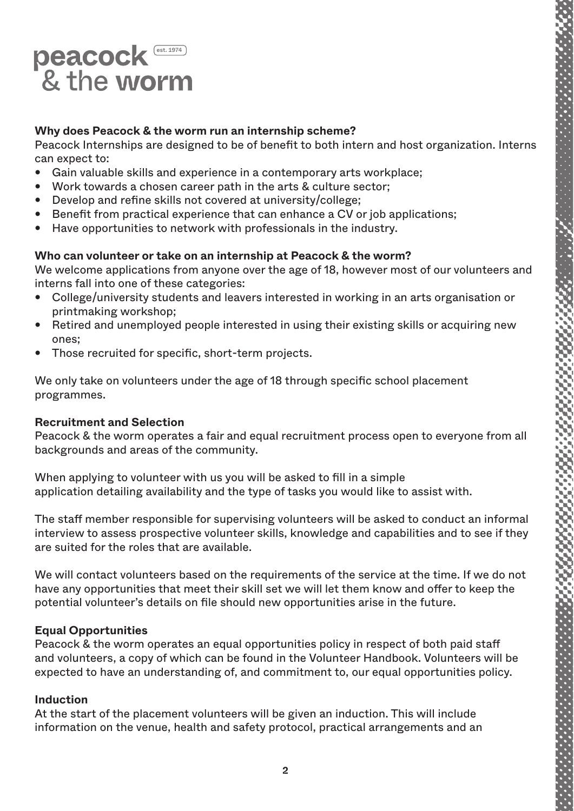

# **Why does Peacock & the worm run an internship scheme?**

Peacock Internships are designed to be of benefit to both intern and host organization. Interns can expect to:

- Gain valuable skills and experience in a contemporary arts workplace;
- Work towards a chosen career path in the arts & culture sector;
- Develop and refine skills not covered at university/college;
- Benefit from practical experience that can enhance a CV or job applications;
- Have opportunities to network with professionals in the industry.

# **Who can volunteer or take on an internship at Peacock & the worm?**

We welcome applications from anyone over the age of 18, however most of our volunteers and interns fall into one of these categories:

- College/university students and leavers interested in working in an arts organisation or printmaking workshop;
- Retired and unemployed people interested in using their existing skills or acquiring new ones;
- Those recruited for specific, short-term projects.

We only take on volunteers under the age of 18 through specific school placement programmes.

# **Recruitment and Selection**

Peacock & the worm operates a fair and equal recruitment process open to everyone from all backgrounds and areas of the community.

When applying to volunteer with us you will be asked to fill in a simple application detailing availability and the type of tasks you would like to assist with.

The staff member responsible for supervising volunteers will be asked to conduct an informal interview to assess prospective volunteer skills, knowledge and capabilities and to see if they are suited for the roles that are available.

We will contact volunteers based on the requirements of the service at the time. If we do not have any opportunities that meet their skill set we will let them know and offer to keep the potential volunteer's details on file should new opportunities arise in the future.

# **Equal Opportunities**

Peacock & the worm operates an equal opportunities policy in respect of both paid staff and volunteers, a copy of which can be found in the Volunteer Handbook. Volunteers will be expected to have an understanding of, and commitment to, our equal opportunities policy.

#### **Induction**

At the start of the placement volunteers will be given an induction. This will include information on the venue, health and safety protocol, practical arrangements and an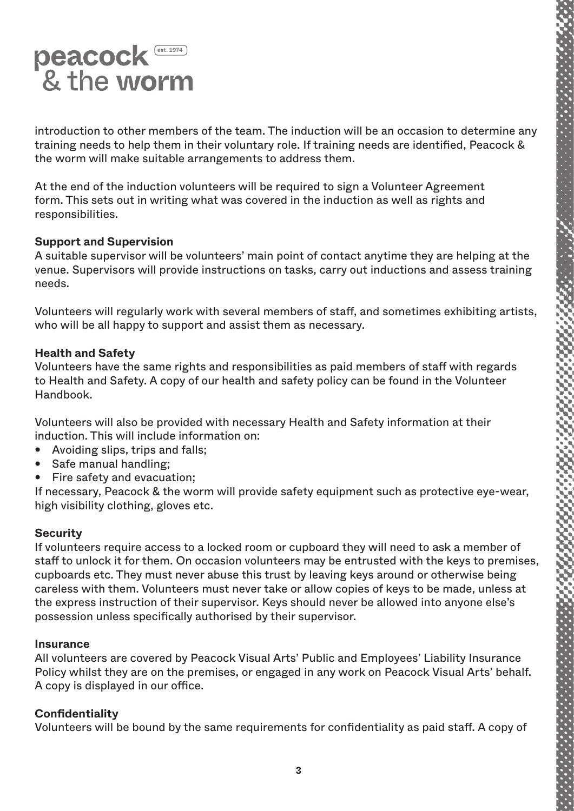

introduction to other members of the team. The induction will be an occasion to determine any training needs to help them in their voluntary role. If training needs are identified, Peacock & the worm will make suitable arrangements to address them.

At the end of the induction volunteers will be required to sign a Volunteer Agreement form. This sets out in writing what was covered in the induction as well as rights and responsibilities.

#### **Support and Supervision**

A suitable supervisor will be volunteers' main point of contact anytime they are helping at the venue. Supervisors will provide instructions on tasks, carry out inductions and assess training needs.

Volunteers will regularly work with several members of staff, and sometimes exhibiting artists, who will be all happy to support and assist them as necessary.

#### **Health and Safety**

Volunteers have the same rights and responsibilities as paid members of staff with regards to Health and Safety. A copy of our health and safety policy can be found in the Volunteer Handbook.

Volunteers will also be provided with necessary Health and Safety information at their induction. This will include information on:

- Avoiding slips, trips and falls;
- Safe manual handling;
- Fire safety and evacuation;

If necessary, Peacock & the worm will provide safety equipment such as protective eye-wear, high visibility clothing, gloves etc.

# **Security**

If volunteers require access to a locked room or cupboard they will need to ask a member of staff to unlock it for them. On occasion volunteers may be entrusted with the keys to premises, cupboards etc. They must never abuse this trust by leaving keys around or otherwise being careless with them. Volunteers must never take or allow copies of keys to be made, unless at the express instruction of their supervisor. Keys should never be allowed into anyone else's possession unless specifically authorised by their supervisor.

#### **Insurance**

All volunteers are covered by Peacock Visual Arts' Public and Employees' Liability Insurance Policy whilst they are on the premises, or engaged in any work on Peacock Visual Arts' behalf. A copy is displayed in our office.

#### **Confidentiality**

Volunteers will be bound by the same requirements for confidentiality as paid staff. A copy of